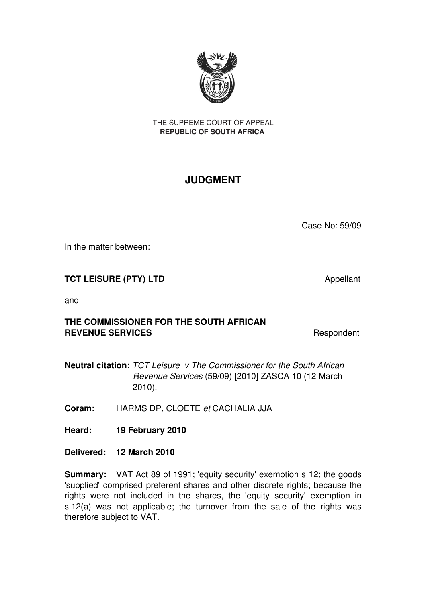

THE SUPREME COURT OF APPEAL **REPUBLIC OF SOUTH AFRICA** 

# **JUDGMENT**

Case No: 59/09

In the matter between:

## **TCT LEISURE (PTY) LTD** Appellant

and

## **THE COMMISSIONER FOR THE SOUTH AFRICAN REVENUE SERVICES** REVENUE SERVICES

**Neutral citation:** *TCT Leisure v The Commissioner for the South African* *Revenue Services* (59/09) [2010] ZASCA 10 (12 March 2010).

**Coram:** HARMS DP, CLOETE *et* CACHALIA JJA

**Heard: 19 February 2010** 

**Delivered: 12 March 2010**

**Summary:** VAT Act 89 of 1991; 'equity security' exemption s 12; the goods 'supplied' comprised preferent shares and other discrete rights; because the rights were not included in the shares, the 'equity security' exemption in s 12(a) was not applicable; the turnover from the sale of the rights was therefore subject to VAT.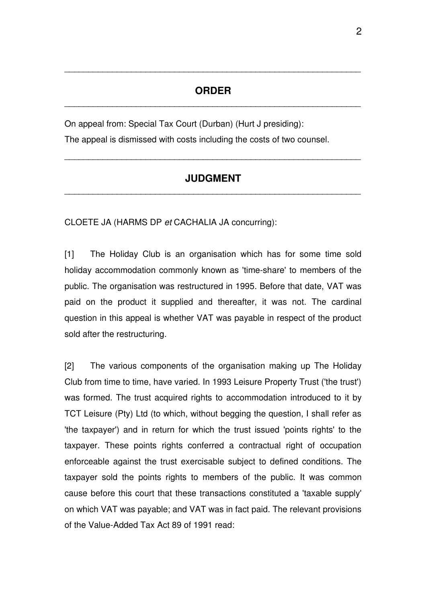#### **ORDER** \_\_\_\_\_\_\_\_\_\_\_\_\_\_\_\_\_\_\_\_\_\_\_\_\_\_\_\_\_\_\_\_\_\_\_\_\_\_\_\_\_\_\_\_\_\_\_\_\_\_\_\_\_\_\_\_\_\_\_\_\_\_

\_\_\_\_\_\_\_\_\_\_\_\_\_\_\_\_\_\_\_\_\_\_\_\_\_\_\_\_\_\_\_\_\_\_\_\_\_\_\_\_\_\_\_\_\_\_\_\_\_\_\_\_\_\_\_\_\_\_\_\_\_\_

On appeal from: Special Tax Court (Durban) (Hurt J presiding):

The appeal is dismissed with costs including the costs of two counsel.

#### **JUDGMENT** \_\_\_\_\_\_\_\_\_\_\_\_\_\_\_\_\_\_\_\_\_\_\_\_\_\_\_\_\_\_\_\_\_\_\_\_\_\_\_\_\_\_\_\_\_\_\_\_\_\_\_\_\_\_\_\_\_\_\_\_\_\_

\_\_\_\_\_\_\_\_\_\_\_\_\_\_\_\_\_\_\_\_\_\_\_\_\_\_\_\_\_\_\_\_\_\_\_\_\_\_\_\_\_\_\_\_\_\_\_\_\_\_\_\_\_\_\_\_\_\_\_\_\_\_

CLOETE JA (HARMS DP *et* CACHALIA JA concurring):

[1] The Holiday Club is an organisation which has for some time sold holiday accommodation commonly known as 'time-share' to members of the public. The organisation was restructured in 1995. Before that date, VAT was paid on the product it supplied and thereafter, it was not. The cardinal question in this appeal is whether VAT was payable in respect of the product sold after the restructuring.

[2] The various components of the organisation making up The Holiday Club from time to time, have varied. In 1993 Leisure Property Trust ('the trust') was formed. The trust acquired rights to accommodation introduced to it by TCT Leisure (Pty) Ltd (to which, without begging the question, I shall refer as 'the taxpayer') and in return for which the trust issued 'points rights' to the taxpayer. These points rights conferred a contractual right of occupation enforceable against the trust exercisable subject to defined conditions. The taxpayer sold the points rights to members of the public. It was common cause before this court that these transactions constituted a 'taxable supply' on which VAT was payable; and VAT was in fact paid. The relevant provisions of the Value-Added Tax Act 89 of 1991 read: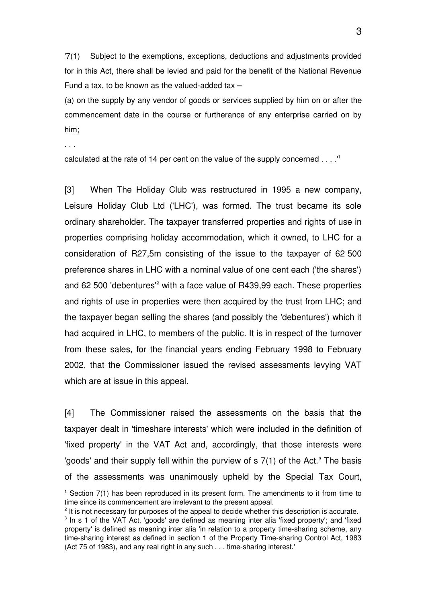'7(1) Subject to the exemptions, exceptions, deductions and adjustments provided for in this Act, there shall be levied and paid for the benefit of the National Revenue Fund a tax, to be known as the valued-added tax  $-$ 

(a) on the supply by any vendor of goods or services supplied by him on or after the commencement date in the course or furtherance of any enterprise carried on by him;

. . .

calculated at the rate of 14 per cent on the value of the supply concerned . . . .'[1](#page-2-0)

[3] When The Holiday Club was restructured in 1995 a new company, Leisure Holiday Club Ltd ('LHC'), was formed. The trust became its sole ordinary shareholder. The taxpayer transferred properties and rights of use in properties comprising holiday accommodation, which it owned, to LHC for a consideration of R27,5m consisting of the issue to the taxpayer of 62 500 preference shares in LHC with a nominal value of one cent each ('the shares') and 6[2](#page-2-1) 500 'debentures'<sup>2</sup> with a face value of R439,99 each. These properties and rights of use in properties were then acquired by the trust from LHC; and the taxpayer began selling the shares (and possibly the 'debentures') which it had acquired in LHC, to members of the public. It is in respect of the turnover from these sales, for the financial years ending February 1998 to February 2002, that the Commissioner issued the revised assessments levying VAT which are at issue in this appeal.

[4] The Commissioner raised the assessments on the basis that the taxpayer dealt in 'timeshare interests' which were included in the definition of 'fixed property' in the VAT Act and, accordingly, that those interests were 'goods' and their supply fell within the purview of s  $7(1)$  of the Act.<sup>[3](#page-2-2)</sup> The basis of the assessments was unanimously upheld by the Special Tax Court,

<span id="page-2-0"></span><sup>&</sup>lt;sup>1</sup> Section 7(1) has been reproduced in its present form. The amendments to it from time to time since its commencement are irrelevant to the present appeal.

<span id="page-2-1"></span><sup>&</sup>lt;sup>2</sup> It is not necessary for purposes of the appeal to decide whether this description is accurate.

<span id="page-2-2"></span><sup>&</sup>lt;sup>3</sup> In s 1 of the VAT Act, 'goods' are defined as meaning inter alia 'fixed property'; and 'fixed property' is defined as meaning inter alia 'in relation to a property time-sharing scheme, any time-sharing interest as defined in section 1 of the Property Time-sharing Control Act, 1983 (Act 75 of 1983), and any real right in any such . . . time-sharing interest.'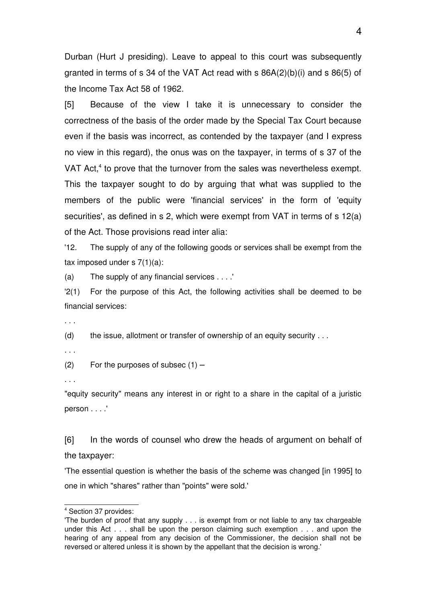Durban (Hurt J presiding). Leave to appeal to this court was subsequently granted in terms of s 34 of the VAT Act read with s 86A(2)(b)(i) and s 86(5) of the Income Tax Act 58 of 1962.

[5] Because of the view I take it is unnecessary to consider the correctness of the basis of the order made by the Special Tax Court because even if the basis was incorrect, as contended by the taxpayer (and I express no view in this regard), the onus was on the taxpayer, in terms of s 37 of the VAT Act,<sup>[4](#page-3-0)</sup> to prove that the turnover from the sales was nevertheless exempt. This the taxpayer sought to do by arguing that what was supplied to the members of the public were 'financial services' in the form of 'equity securities', as defined in s 2, which were exempt from VAT in terms of s 12(a) of the Act. Those provisions read inter alia:

'12. The supply of any of the following goods or services shall be exempt from the tax imposed under  $s \, 7(1)(a)$ :

(a) The supply of any financial services . . . .'

'2(1) For the purpose of this Act, the following activities shall be deemed to be financial services:

. . .

(d) the issue, allotment or transfer of ownership of an equity security  $\dots$ 

. . .

 $(2)$  For the purposes of subsec  $(1)$  –

. . .

"equity security" means any interest in or right to a share in the capital of a juristic person . . . .'

[6] In the words of counsel who drew the heads of argument on behalf of the taxpayer:

'The essential question is whether the basis of the scheme was changed [in 1995] to one in which "shares" rather than "points" were sold.'

<span id="page-3-0"></span><sup>4</sup> Section 37 provides:

<sup>&#</sup>x27;The burden of proof that any supply . . . is exempt from or not liable to any tax chargeable under this Act . . . shall be upon the person claiming such exemption . . . and upon the hearing of any appeal from any decision of the Commissioner, the decision shall not be reversed or altered unless it is shown by the appellant that the decision is wrong.'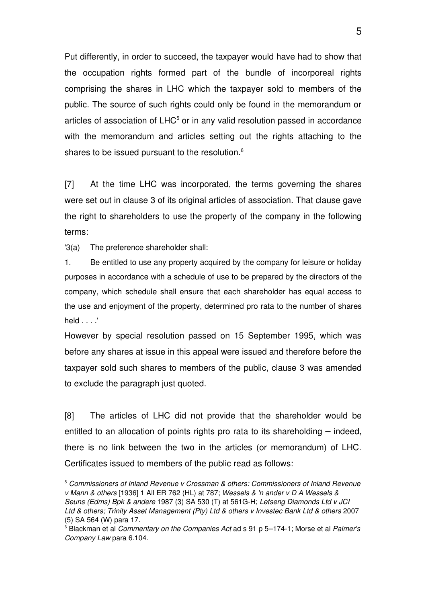Put differently, in order to succeed, the taxpayer would have had to show that the occupation rights formed part of the bundle of incorporeal rights comprising the shares in LHC which the taxpayer sold to members of the public. The source of such rights could only be found in the memorandum or articles of association of LHC $^5$  $^5$  or in any valid resolution passed in accordance with the memorandum and articles setting out the rights attaching to the shares to be issued pursuant to the resolution.<sup>[6](#page-4-1)</sup>

[7] At the time LHC was incorporated, the terms governing the shares were set out in clause 3 of its original articles of association. That clause gave the right to shareholders to use the property of the company in the following terms:

'3(a) The preference shareholder shall:

1. Be entitled to use any property acquired by the company for leisure or holiday purposes in accordance with a schedule of use to be prepared by the directors of the company, which schedule shall ensure that each shareholder has equal access to the use and enjoyment of the property, determined pro rata to the number of shares held . . . .'

However by special resolution passed on 15 September 1995, which was before any shares at issue in this appeal were issued and therefore before the taxpayer sold such shares to members of the public, clause 3 was amended to exclude the paragraph just quoted.

[8] The articles of LHC did not provide that the shareholder would be entitled to an allocation of points rights pro rata to its shareholding  $-$  indeed, there is no link between the two in the articles (or memorandum) of LHC. Certificates issued to members of the public read as follows:

<span id="page-4-0"></span><sup>5</sup> *Commissioners of Inland Revenue v Crossman & others: Commissioners of Inland Revenue v Mann & others* [1936] 1 All ER 762 (HL) at 787; *Wessels & 'n ander v D A Wessels & Seuns (Edms) Bpk & andere* 1987 (3) SA 530 (T) at 561G-H; *Letseng Diamonds Ltd v JCI Ltd & others; Trinity Asset Management (Pty) Ltd & others v Investec Bank Ltd & others* 2007 (5) SA 564 (W) para 17.

<span id="page-4-1"></span><sup>&</sup>lt;sup>6</sup> Blackman et al *Commentary on the Companies Act* ad s 91 p 5–174-1; Morse et al Palmer's *Company Law* para 6.104.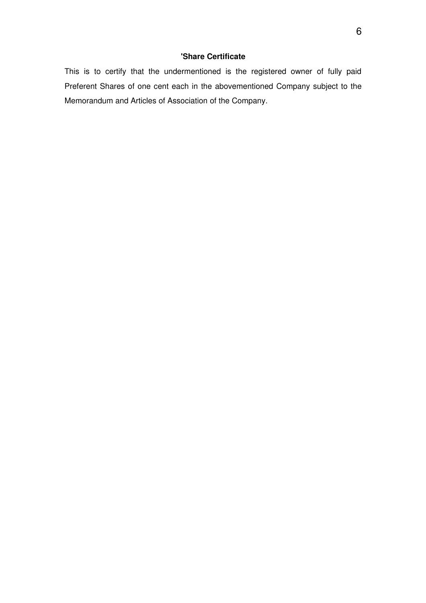#### **'Share Certificate**

This is to certify that the undermentioned is the registered owner of fully paid Preferent Shares of one cent each in the abovementioned Company subject to the Memorandum and Articles of Association of the Company.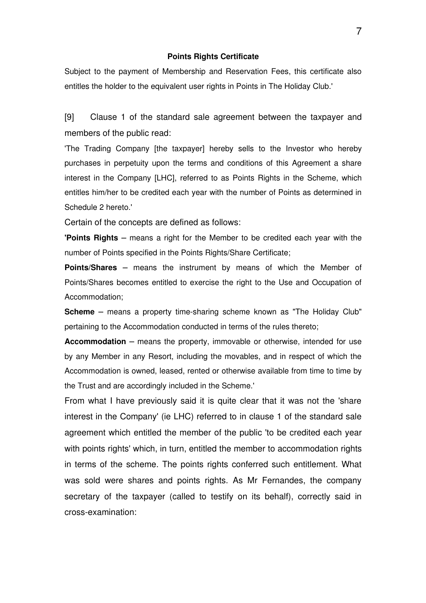#### **Points Rights Certificate**

Subject to the payment of Membership and Reservation Fees, this certificate also entitles the holder to the equivalent user rights in Points in The Holiday Club.'

[9] Clause 1 of the standard sale agreement between the taxpayer and members of the public read:

'The Trading Company [the taxpayer] hereby sells to the Investor who hereby purchases in perpetuity upon the terms and conditions of this Agreement a share interest in the Company [LHC], referred to as Points Rights in the Scheme, which entitles him/her to be credited each year with the number of Points as determined in Schedule 2 hereto.'

Certain of the concepts are defined as follows:

**'Points Rights** - means a right for the Member to be credited each year with the number of Points specified in the Points Rights/Share Certificate;

**Points/Shares** - means the instrument by means of which the Member of Points/Shares becomes entitled to exercise the right to the Use and Occupation of Accommodation;

**Scheme**  $-$  means a property time-sharing scheme known as "The Holiday Club" pertaining to the Accommodation conducted in terms of the rules thereto;

**Accommodation** means the property, immovable or otherwise, intended for use ─ by any Member in any Resort, including the movables, and in respect of which the Accommodation is owned, leased, rented or otherwise available from time to time by the Trust and are accordingly included in the Scheme.'

From what I have previously said it is quite clear that it was not the 'share interest in the Company' (ie LHC) referred to in clause 1 of the standard sale agreement which entitled the member of the public 'to be credited each year with points rights' which, in turn, entitled the member to accommodation rights in terms of the scheme. The points rights conferred such entitlement. What was sold were shares and points rights. As Mr Fernandes, the company secretary of the taxpayer (called to testify on its behalf), correctly said in cross-examination: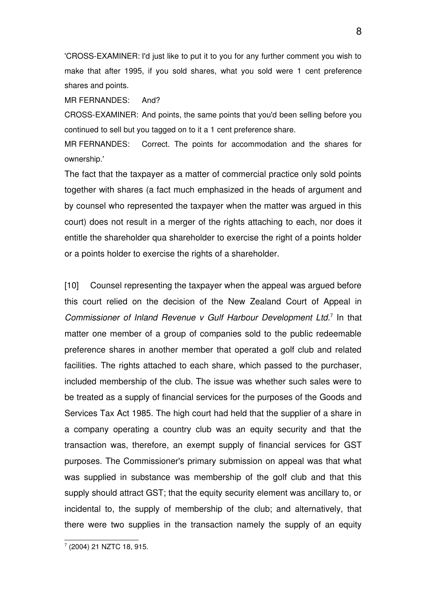'CROSSEXAMINER: I'd just like to put it to you for any further comment you wish to make that after 1995, if you sold shares, what you sold were 1 cent preference shares and points.

MR FERNANDES: And?

CROSSEXAMINER: And points, the same points that you'd been selling before you continued to sell but you tagged on to it a 1 cent preference share.

MR FERNANDES: Correct. The points for accommodation and the shares for ownership.'

The fact that the taxpayer as a matter of commercial practice only sold points together with shares (a fact much emphasized in the heads of argument and by counsel who represented the taxpayer when the matter was argued in this court) does not result in a merger of the rights attaching to each, nor does it entitle the shareholder qua shareholder to exercise the right of a points holder or a points holder to exercise the rights of a shareholder.

[10] Counsel representing the taxpayer when the appeal was argued before this court relied on the decision of the New Zealand Court of Appeal in Commissioner of Inland Revenue v Gulf Harbour Development Ltd.<sup>[7](#page-7-0)</sup> In that matter one member of a group of companies sold to the public redeemable preference shares in another member that operated a golf club and related facilities. The rights attached to each share, which passed to the purchaser, included membership of the club. The issue was whether such sales were to be treated as a supply of financial services for the purposes of the Goods and Services Tax Act 1985. The high court had held that the supplier of a share in a company operating a country club was an equity security and that the transaction was, therefore, an exempt supply of financial services for GST purposes. The Commissioner's primary submission on appeal was that what was supplied in substance was membership of the golf club and that this supply should attract GST; that the equity security element was ancillary to, or incidental to, the supply of membership of the club; and alternatively, that there were two supplies in the transaction namely the supply of an equity

<span id="page-7-0"></span><sup>7</sup> (2004) 21 NZTC 18, 915.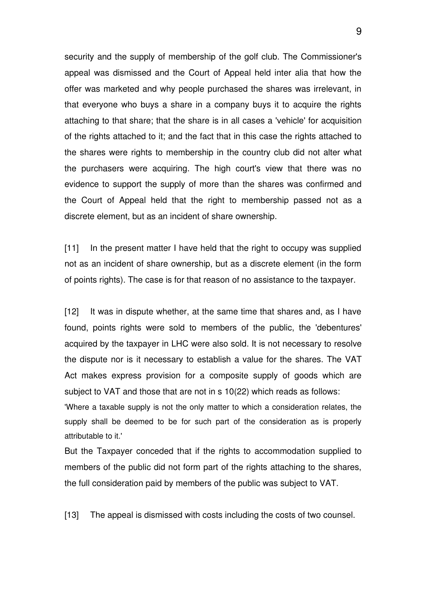security and the supply of membership of the golf club. The Commissioner's appeal was dismissed and the Court of Appeal held inter alia that how the offer was marketed and why people purchased the shares was irrelevant, in that everyone who buys a share in a company buys it to acquire the rights attaching to that share; that the share is in all cases a 'vehicle' for acquisition of the rights attached to it; and the fact that in this case the rights attached to the shares were rights to membership in the country club did not alter what the purchasers were acquiring. The high court's view that there was no evidence to support the supply of more than the shares was confirmed and the Court of Appeal held that the right to membership passed not as a discrete element, but as an incident of share ownership.

[11] In the present matter I have held that the right to occupy was supplied not as an incident of share ownership, but as a discrete element (in the form of points rights). The case is for that reason of no assistance to the taxpayer.

[12] It was in dispute whether, at the same time that shares and, as I have found, points rights were sold to members of the public, the 'debentures' acquired by the taxpayer in LHC were also sold. It is not necessary to resolve the dispute nor is it necessary to establish a value for the shares. The VAT Act makes express provision for a composite supply of goods which are subject to VAT and those that are not in s 10(22) which reads as follows:

'Where a taxable supply is not the only matter to which a consideration relates, the supply shall be deemed to be for such part of the consideration as is properly attributable to it.'

But the Taxpayer conceded that if the rights to accommodation supplied to members of the public did not form part of the rights attaching to the shares, the full consideration paid by members of the public was subject to VAT.

[13] The appeal is dismissed with costs including the costs of two counsel.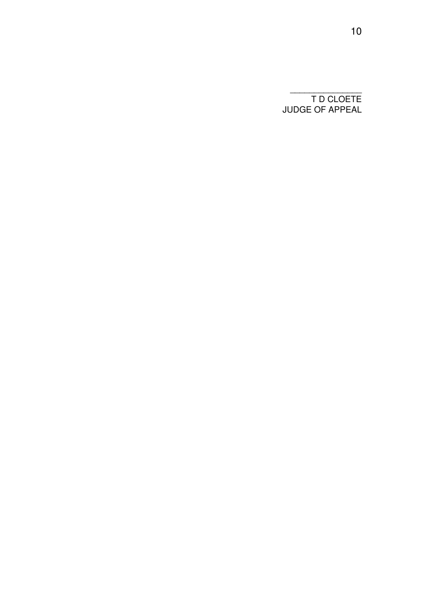T D CLOETE JUDGE OF APPEAL

\_\_\_\_\_\_\_\_\_\_\_\_\_\_\_